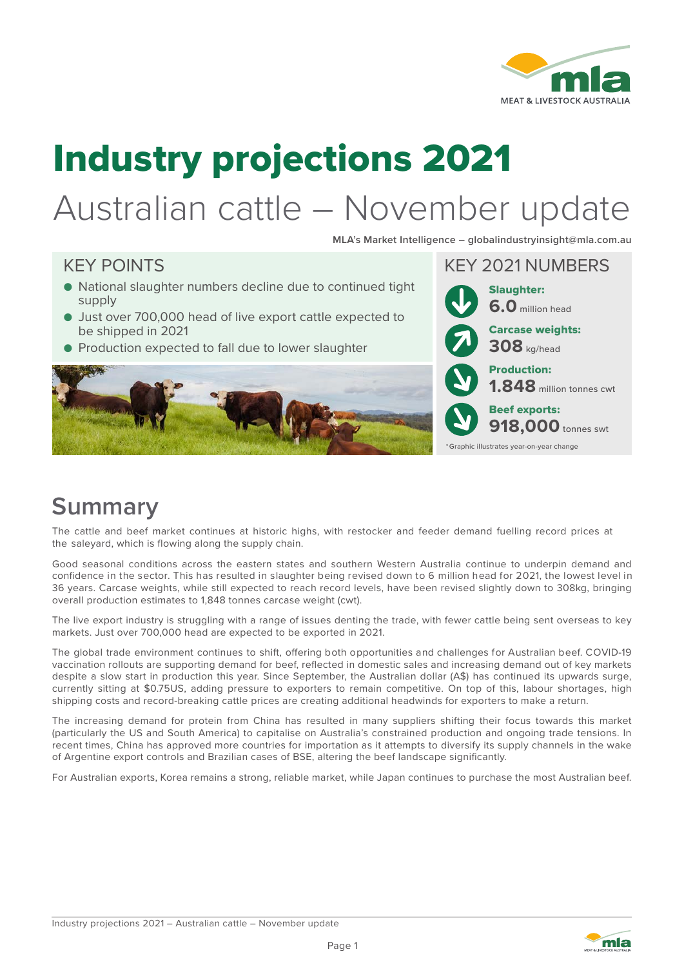

# Industry projections 2021

# Australian cattle – November update

**MLA's Market Intelligence – globalindustryinsight@mla.com.au**

#### KEY POINTS AND REVIEW WAS ARRESTED FOR THE REVIEW WAS ARRESTED FOR THE REVIEW OF A SECOND MINIMUM OF THE REVIEW OF THE REVIEW OF THE REVIEW OF THE REVIEW OF THE REVIEW OF THE REVIEW OF THE REVIEW OF THE REVIEW OF THE REVIE ● National slaughter numbers decline due to continued tight supply ● Just over 700,000 head of live export cattle expected to be shipped in 2021 ● Production expected to fall due to lower slaughter Slaughter: **6.0** million head Production: **1.848** million tonnes cwt Beef exports: **918,000** tonnes swt Carcase weights: **308** kg/head \*Graphic illustrates year-on-year change

## **Summary**

The cattle and beef market continues at historic highs, with restocker and feeder demand fuelling record prices at the saleyard, which is flowing along the supply chain.

Good seasonal conditions across the eastern states and southern Western Australia continue to underpin demand and confidence in the sector. This has resulted in slaughter being revised down to 6 million head for 2021, the lowest level in 36 years. Carcase weights, while still expected to reach record levels, have been revised slightly down to 308kg, bringing overall production estimates to 1,848 tonnes carcase weight (cwt).

The live export industry is struggling with a range of issues denting the trade, with fewer cattle being sent overseas to key markets. Just over 700,000 head are expected to be exported in 2021.

The global trade environment continues to shift, offering both opportunities and challenges for Australian beef. COVID-19 vaccination rollouts are supporting demand for beef, reflected in domestic sales and increasing demand out of key markets despite a slow start in production this year. Since September, the Australian dollar (A\$) has continued its upwards surge, currently sitting at \$0.75US, adding pressure to exporters to remain competitive. On top of this, labour shortages, high shipping costs and record-breaking cattle prices are creating additional headwinds for exporters to make a return.

The increasing demand for protein from China has resulted in many suppliers shifting their focus towards this market (particularly the US and South America) to capitalise on Australia's constrained production and ongoing trade tensions. In recent times, China has approved more countries for importation as it attempts to diversify its supply channels in the wake of Argentine export controls and Brazilian cases of BSE, altering the beef landscape significantly.

For Australian exports, Korea remains a strong, reliable market, while Japan continues to purchase the most Australian beef.

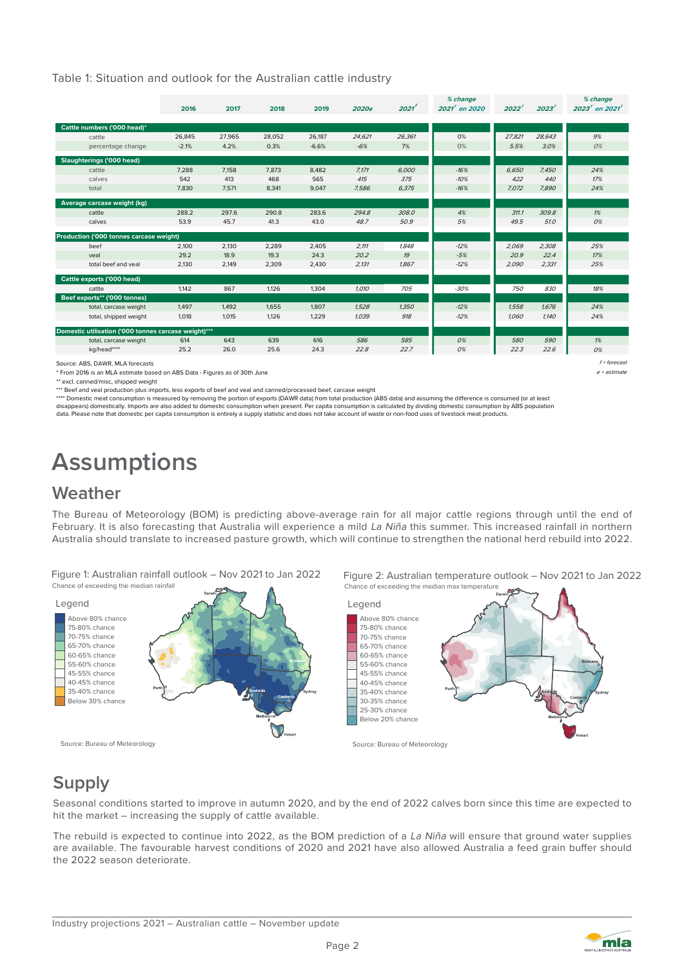Table 1: Situation and outlook for the Australian cattle industry

|                                                      | 2016    | 2017   | 2018   | 2019    | 2020e  | 2021'  | % change<br>$2021t$ on 2020 | 2022'  | 2023 <sup>′</sup> | % change<br>2023 $^{\rm f}$ on 2021 $^{\rm f}$ |
|------------------------------------------------------|---------|--------|--------|---------|--------|--------|-----------------------------|--------|-------------------|------------------------------------------------|
| Cattle numbers ('000 head)*                          |         |        |        |         |        |        |                             |        |                   |                                                |
| cattle                                               | 26,845  | 27,965 | 28,052 | 26,187  | 24,621 | 26,361 | 0%                          | 27,821 | 28,643            | 9%                                             |
| percentage change                                    | $-2.1%$ | 4.2%   | 0.3%   | $-6.6%$ | $-6%$  | 7%     | 0%                          | 5.5%   | 3.0%              | 0%                                             |
| <b>Slaughterings ('000 head)</b>                     |         |        |        |         |        |        |                             |        |                   |                                                |
| cattle                                               | 7.288   | 7.158  | 7.873  | 8.482   | 7.171  | 6.000  | $-16%$                      | 6,650  | 7,450             | 24%                                            |
| calves                                               | 542     | 413    | 468    | 565     | 415    | 375    | $-10%$                      | 422    | 440               | 17%                                            |
| total                                                | 7,830   | 7,571  | 8,341  | 9,047   | 7,586  | 6,375  | $-16%$                      | 7.072  | 7,890             | 24%                                            |
| Average carcase weight (kg)                          |         |        |        |         |        |        |                             |        |                   |                                                |
| cattle                                               | 288.2   | 297.6  | 290.8  | 283.6   | 294.8  | 308.0  | 4%                          | 311.1  | 309.8             | 1%                                             |
| calves                                               | 53.9    | 45.7   | 41.3   | 43.0    | 48.7   | 50.9   | 5%                          | 49.5   | 51.0              | 0%                                             |
| Production ('000 tonnes carcase weight)              |         |        |        |         |        |        |                             |        |                   |                                                |
| beef                                                 | 2,100   | 2,130  | 2,289  | 2,405   | 2,111  | 1,848  | $-12%$                      | 2,069  | 2,308             | 25%                                            |
| veal                                                 | 29.2    | 18.9   | 19.3   | 24.3    | 20.2   | 19     | $-5%$                       | 20.9   | 22.4              | 17%                                            |
| total beef and yeal                                  | 2,130   | 2,149  | 2,309  | 2,430   | 2,131  | 1.867  | $-12%$                      | 2.090  | 2,331             | 25%                                            |
| Cattle exports ('000 head)                           |         |        |        |         |        |        |                             |        |                   |                                                |
| cattle                                               | 1,142   | 867    | 1,126  | 1,304   | 1.010  | 705    | $-30%$                      | 750    | 830               | 18%                                            |
| Beef exports** ('000 tonnes)                         |         |        |        |         |        |        |                             |        |                   |                                                |
| total, carcase weight                                | 1,497   | 1.492  | 1,655  | 1,807   | 1,528  | 1,350  | $-12%$                      | 1,558  | 1,676             | 24%                                            |
| total, shipped weight                                | 1,018   | 1,015  | 1,126  | 1,229   | 1.039  | 918    | $-12%$                      | 1.060  | 1,140             | 24%                                            |
| Domestic utilisation ('000 tonnes carcase weight)*** |         |        |        |         |        |        |                             |        |                   |                                                |
| total, carcase weight                                | 614     | 643    | 639    | 616     | 586    | 585    | 0%                          | 580    | 590               | 1%                                             |
| kg/head****                                          | 25.2    | 26.0   | 25.6   | 24.3    | 22.8   | 22.7   | 0%                          | 22.3   | 22.6              | 0%                                             |
| Source: ABS, DAWR, MLA forecasts                     |         |        |        |         |        |        |                             |        |                   | $f =$ forecast                                 |

\* From 2016 is an MLA estimate based on ABS Data - Figures as of 30th June \*\* excl. canned/misc, shipped weight

\*\*\* Beef and veal production plus imports, less exports of beef and veal and canned/processed beef, carcase weight

\*\*\*\* Domestic meat consumption is measured by removing the portion of exports (DAWR data) from total production (ABS data) and assuming the difference is consumed (or at least<br>disappears) domestically. Imports are also add

data. Please note that domestic per capita consumption is entirely a supply statistic and does not take account of waste or non-food uses of livestock meat products.

## **Assumptions**

### **Weather**

The Bureau of Meteorology (BOM) is predicting above-average rain for all major cattle regions through until the end of February. It is also forecasting that Australia will experience a mild La Niña this summer. This increased rainfall in northern Australia should translate to increased pasture growth, which will continue to strengthen the national herd rebuild into 2022.

Figure 1: Australian rainfall outlook – Nov 2021 to Jan 2022 Chance of exceeding the median rainfall



## **Supply**

Seasonal conditions started to improve in autumn 2020, and by the end of 2022 calves born since this time are expected to hit the market – increasing the supply of cattle available.

The rebuild is expected to continue into 2022, as the BOM prediction of a La Niña will ensure that ground water supplies are available. The favourable harvest conditions of 2020 and 2021 have also allowed Australia a feed grain buffer should the 2022 season deteriorate.



e = estimate

Figure 2: Australian temperature outlook – Nov 2021 to Jan 2022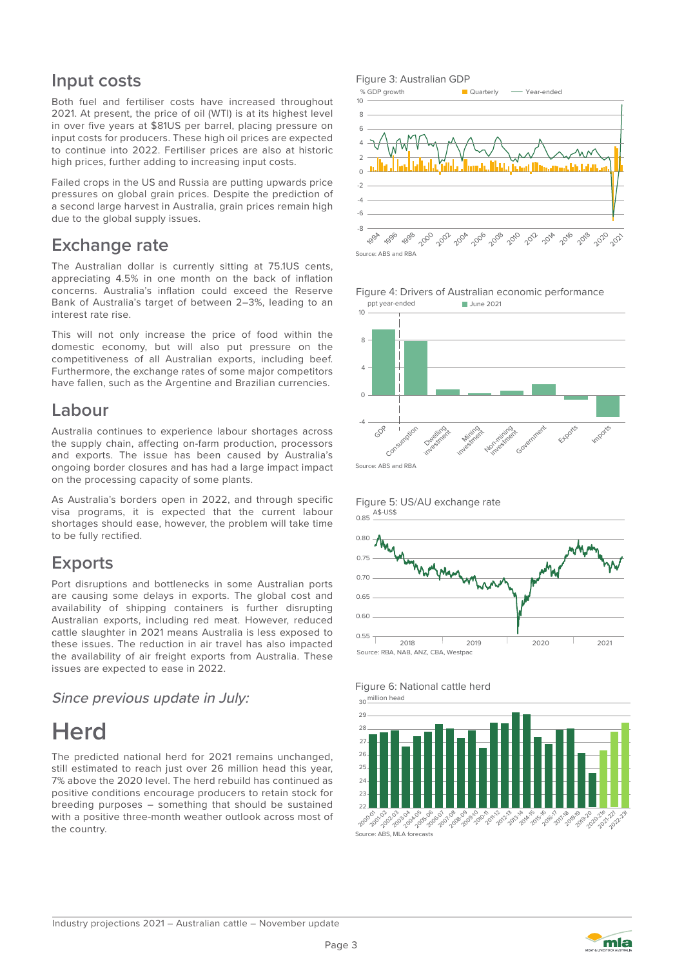## **Input costs**

Both fuel and fertiliser costs have increased throughout 2021. At present, the price of oil (WTI) is at its highest level in over five years at \$81US per barrel, placing pressure on input costs for producers. These high oil prices are expected to continue into 2022. Fertiliser prices are also at historic high prices, further adding to increasing input costs.

Failed crops in the US and Russia are putting upwards price pressures on global grain prices. Despite the prediction of a second large harvest in Australia, grain prices remain high due to the global supply issues.

### **Exchange rate**

The Australian dollar is currently sitting at 75.1US cents, appreciating 4.5% in one month on the back of inflation concerns. Australia's inflation could exceed the Reserve Bank of Australia's target of between 2–3%, leading to an interest rate rise.

This will not only increase the price of food within the domestic economy, but will also put pressure on the competitiveness of all Australian exports, including beef. Furthermore, the exchange rates of some major competitors have fallen, such as the Argentine and Brazilian currencies.

### **Labour**

Australia continues to experience labour shortages across the supply chain, affecting on-farm production, processors and exports. The issue has been caused by Australia's ongoing border closures and has had a large impact impact on the processing capacity of some plants.

As Australia's borders open in 2022, and through specific visa programs, it is expected that the current labour shortages should ease, however, the problem will take time to be fully rectified.

## **Exports**

Port disruptions and bottlenecks in some Australian ports are causing some delays in exports. The global cost and availability of shipping containers is further disrupting Australian exports, including red meat. However, reduced cattle slaughter in 2021 means Australia is less exposed to these issues. The reduction in air travel has also impacted the availability of air freight exports from Australia. These issues are expected to ease in 2022.

Since previous update in July:

## **Herd**

The predicted national herd for 2021 remains unchanged, still estimated to reach just over 26 million head this year, 7% above the 2020 level. The herd rebuild has continued as positive conditions encourage producers to retain stock for breeding purposes – something that should be sustained with a positive three-month weather outlook across most of the country.

#### Figure 3: Australian GDP

% GDP growth **Quarterly** - Year-ended













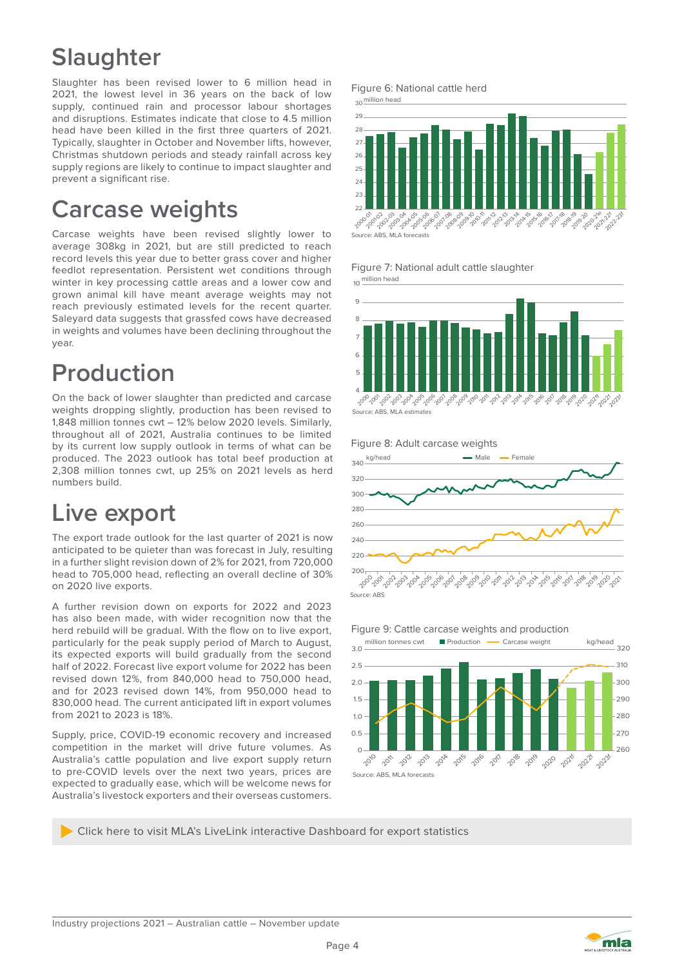## **Slaughter**

Slaughter has been revised lower to 6 million head in 2021, the lowest level in 36 years on the back of low supply, continued rain and processor labour shortages and disruptions. Estimates indicate that close to 4.5 million head have been killed in the first three quarters of 2021. Typically, slaughter in October and November lifts, however, Christmas shutdown periods and steady rainfall across key supply regions are likely to continue to impact slaughter and prevent a significant rise.

## **Carcase weights**

Carcase weights have been revised slightly lower to average 308kg in 2021, but are still predicted to reach record levels this year due to better grass cover and higher feedlot representation. Persistent wet conditions through winter in key processing cattle areas and a lower cow and grown animal kill have meant average weights may not reach previously estimated levels for the recent quarter. Saleyard data suggests that grassfed cows have decreased in weights and volumes have been declining throughout the year.

## **Production**

On the back of lower slaughter than predicted and carcase weights dropping slightly, production has been revised to 1,848 million tonnes cwt – 12% below 2020 levels. Similarly, throughout all of 2021, Australia continues to be limited by its current low supply outlook in terms of what can be produced. The 2023 outlook has total beef production at 2,308 million tonnes cwt, up 25% on 2021 levels as herd numbers build.

## **Live export**

The export trade outlook for the last quarter of 2021 is now anticipated to be quieter than was forecast in July, resulting in a further slight revision down of 2% for 2021, from 720,000 head to 705,000 head, reflecting an overall decline of 30% on 2020 live exports.

A further revision down on exports for 2022 and 2023 has also been made, with wider recognition now that the herd rebuild will be gradual. With the flow on to live export, particularly for the peak supply period of March to August, its expected exports will build gradually from the second half of 2022. Forecast live export volume for 2022 has been revised down 12%, from 840,000 head to 750,000 head, and for 2023 revised down 14%, from 950,000 head to 830,000 head. The current anticipated lift in export volumes from 2021 to 2023 is 18%.

Supply, price, COVID-19 economic recovery and increased competition in the market will drive future volumes. As Australia's cattle population and live export supply return to pre-COVID levels over the next two years, prices are expected to gradually ease, which will be welcome news for Australia's livestock exporters and their overseas customers.





Figure 7: National adult cattle slaughter



#### Figure 8: Adult carcase weights





Click here to visit MLA's LiveLink interactive Dashboard for export statistics

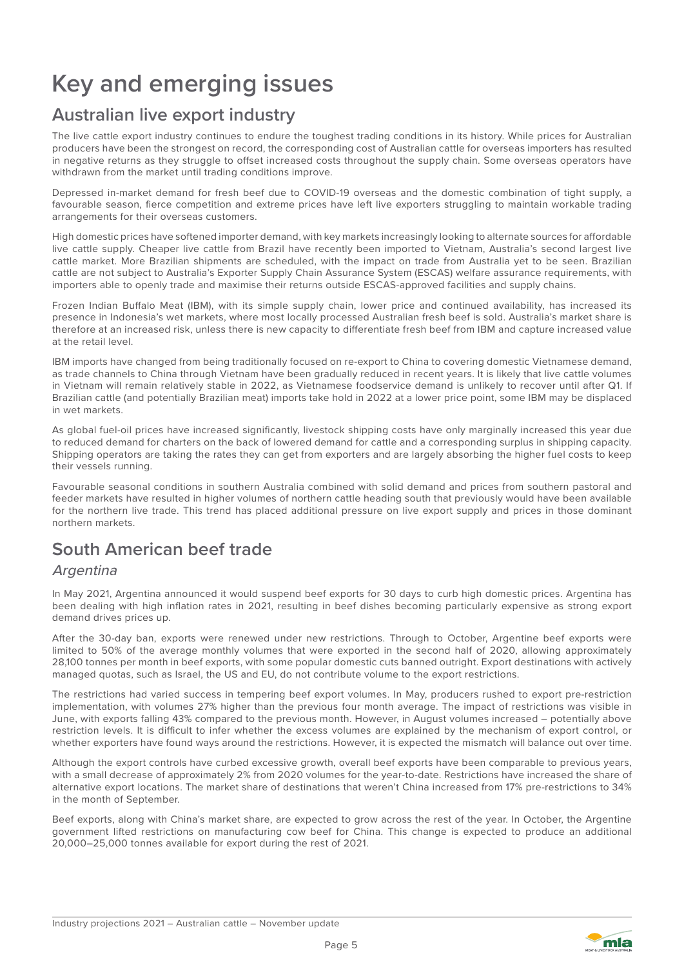## **Key and emerging issues**

### **Australian live export industry**

The live cattle export industry continues to endure the toughest trading conditions in its history. While prices for Australian producers have been the strongest on record, the corresponding cost of Australian cattle for overseas importers has resulted in negative returns as they struggle to offset increased costs throughout the supply chain. Some overseas operators have withdrawn from the market until trading conditions improve.

Depressed in-market demand for fresh beef due to COVID-19 overseas and the domestic combination of tight supply, a favourable season, fierce competition and extreme prices have left live exporters struggling to maintain workable trading arrangements for their overseas customers.

High domestic prices have softened importer demand, with key markets increasingly looking to alternate sources for affordable live cattle supply. Cheaper live cattle from Brazil have recently been imported to Vietnam, Australia's second largest live cattle market. More Brazilian shipments are scheduled, with the impact on trade from Australia yet to be seen. Brazilian cattle are not subject to Australia's Exporter Supply Chain Assurance System (ESCAS) welfare assurance requirements, with importers able to openly trade and maximise their returns outside ESCAS-approved facilities and supply chains.

Frozen Indian Buffalo Meat (IBM), with its simple supply chain, lower price and continued availability, has increased its presence in Indonesia's wet markets, where most locally processed Australian fresh beef is sold. Australia's market share is therefore at an increased risk, unless there is new capacity to differentiate fresh beef from IBM and capture increased value at the retail level.

IBM imports have changed from being traditionally focused on re-export to China to covering domestic Vietnamese demand, as trade channels to China through Vietnam have been gradually reduced in recent years. It is likely that live cattle volumes in Vietnam will remain relatively stable in 2022, as Vietnamese foodservice demand is unlikely to recover until after Q1. If Brazilian cattle (and potentially Brazilian meat) imports take hold in 2022 at a lower price point, some IBM may be displaced in wet markets.

As global fuel-oil prices have increased significantly, livestock shipping costs have only marginally increased this year due to reduced demand for charters on the back of lowered demand for cattle and a corresponding surplus in shipping capacity. Shipping operators are taking the rates they can get from exporters and are largely absorbing the higher fuel costs to keep their vessels running.

Favourable seasonal conditions in southern Australia combined with solid demand and prices from southern pastoral and feeder markets have resulted in higher volumes of northern cattle heading south that previously would have been available for the northern live trade. This trend has placed additional pressure on live export supply and prices in those dominant northern markets.

## **South American beef trade**

### Argentina

In May 2021, Argentina announced it would suspend beef exports for 30 days to curb high domestic prices. Argentina has been dealing with high inflation rates in 2021, resulting in beef dishes becoming particularly expensive as strong export demand drives prices up.

After the 30-day ban, exports were renewed under new restrictions. Through to October, Argentine beef exports were limited to 50% of the average monthly volumes that were exported in the second half of 2020, allowing approximately 28,100 tonnes per month in beef exports, with some popular domestic cuts banned outright. Export destinations with actively managed quotas, such as Israel, the US and EU, do not contribute volume to the export restrictions.

The restrictions had varied success in tempering beef export volumes. In May, producers rushed to export pre-restriction implementation, with volumes 27% higher than the previous four month average. The impact of restrictions was visible in June, with exports falling 43% compared to the previous month. However, in August volumes increased – potentially above restriction levels. It is difficult to infer whether the excess volumes are explained by the mechanism of export control, or whether exporters have found ways around the restrictions. However, it is expected the mismatch will balance out over time.

Although the export controls have curbed excessive growth, overall beef exports have been comparable to previous years, with a small decrease of approximately 2% from 2020 volumes for the year-to-date. Restrictions have increased the share of alternative export locations. The market share of destinations that weren't China increased from 17% pre-restrictions to 34% in the month of September.

Beef exports, along with China's market share, are expected to grow across the rest of the year. In October, the Argentine government lifted restrictions on manufacturing cow beef for China. This change is expected to produce an additional 20,000–25,000 tonnes available for export during the rest of 2021.

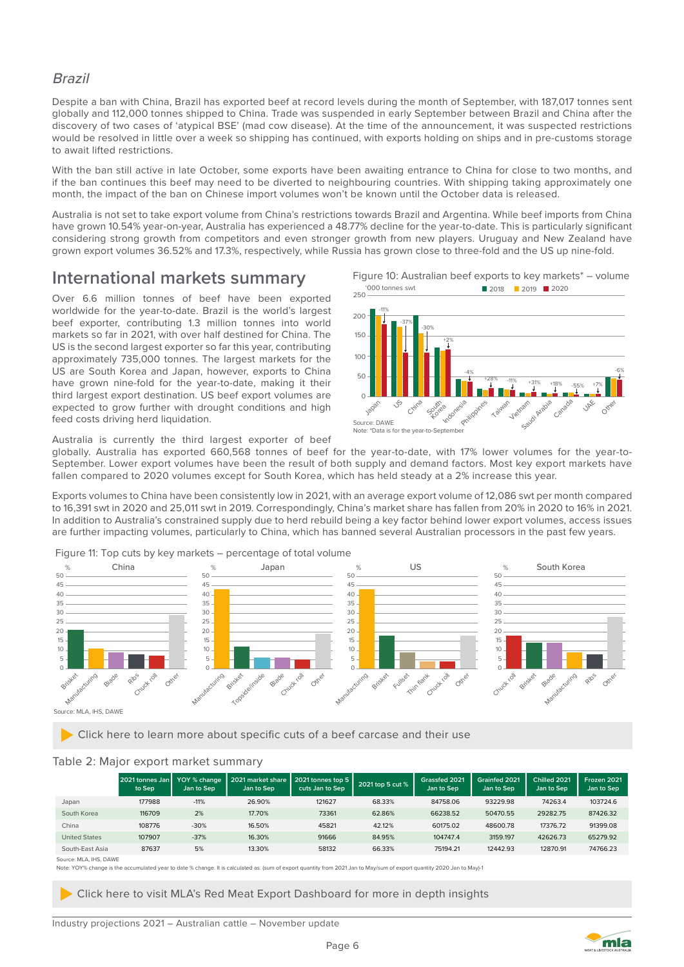#### Brazil

Despite a ban with China, Brazil has exported beef at record levels during the month of September, with 187,017 tonnes sent globally and 112,000 tonnes shipped to China. Trade was suspended in early September between Brazil and China after the discovery of two cases of 'atypical BSE' (mad cow disease). At the time of the announcement, it was suspected restrictions would be resolved in little over a week so shipping has continued, with exports holding on ships and in pre-customs storage to await lifted restrictions.

With the ban still active in late October, some exports have been awaiting entrance to China for close to two months, and if the ban continues this beef may need to be diverted to neighbouring countries. With shipping taking approximately one month, the impact of the ban on Chinese import volumes won't be known until the October data is released.

Australia is not set to take export volume from China's restrictions towards Brazil and Argentina. While beef imports from China have grown 10.54% year-on-year, Australia has experienced a 48.77% decline for the year-to-date. This is particularly significant considering strong growth from competitors and even stronger growth from new players. Uruguay and New Zealand have grown export volumes 36.52% and 17.3%, respectively, while Russia has grown close to three-fold and the US up nine-fold.

### **International markets summary**

Over 6.6 million tonnes of beef have been exported worldwide for the year-to-date. Brazil is the world's largest beef exporter, contributing 1.3 million tonnes into world markets so far in 2021, with over half destined for China. The US is the second largest exporter so far this year, contributing approximately 735,000 tonnes. The largest markets for the US are South Korea and Japan, however, exports to China have grown nine-fold for the year-to-date, making it their third largest export destination. US beef export volumes are expected to grow further with drought conditions and high feed costs driving herd liquidation.





Australia is currently the third largest exporter of beef

globally. Australia has exported 660,568 tonnes of beef for the year-to-date, with 17% lower volumes for the year-to-September. Lower export volumes have been the result of both supply and demand factors. Most key export markets have fallen compared to 2020 volumes except for South Korea, which has held steady at a 2% increase this year.

Exports volumes to China have been consistently low in 2021, with an average export volume of 12,086 swt per month compared to 16,391 swt in 2020 and 25,011 swt in 2019. Correspondingly, China's market share has fallen from 20% in 2020 to 16% in 2021. In addition to Australia's constrained supply due to herd rebuild being a key factor behind lower export volumes, access issues are further impacting volumes, particularly to China, which has banned several Australian processors in the past few years.

Figure 11: Top cuts by key markets – percentage of total volume



Click here to learn more about specific cuts of a beef carcase and their use

#### Table 2: Major export market summary

|                       | 2021 tonnes Jan<br>to Sep | YOY % change<br>Jan to Sep | 2021 market share<br>Jan to Sep | 2021 tonnes top 5<br>cuts Jan to Sep | 2021 top 5 cut % | Grassfed 2021<br>Jan to Sep | Grainfed 2021<br>Jan to Sep | Chilled 2021<br>Jan to Sep | Frozen 2021<br>Jan to Sep |
|-----------------------|---------------------------|----------------------------|---------------------------------|--------------------------------------|------------------|-----------------------------|-----------------------------|----------------------------|---------------------------|
| Japan                 | 177988                    | $-11%$                     | 26.90%                          | 121627                               | 68.33%           | 84758.06                    | 93229.98                    | 74263.4                    | 103724.6                  |
| South Korea           | 116709                    | 2%                         | 17.70%                          | 73361                                | 62.86%           | 66238.52                    | 50470.55                    | 29282.75                   | 87426.32                  |
| China                 | 108776                    | $-30%$                     | 16.50%                          | 45821                                | 42.12%           | 60175.02                    | 48600.78                    | 17376.72                   | 91399.08                  |
| <b>United States</b>  | 107907                    | $-37%$                     | 16.30%                          | 91666                                | 84.95%           | 104747.4                    | 3159.197                    | 42626.73                   | 65279.92                  |
| South-East Asia       | 87637                     | 5%                         | 13.30%                          | 58132                                | 66.33%           | 75194.21                    | 12442.93                    | 12870.91                   | 74766.23                  |
| SOUTCA: MI A IHS DAWE |                           |                            |                                 |                                      |                  |                             |                             |                            |                           |

Note: YOY% change is the accumulated year to date % change. It is calculated as: (sum of export quantity from 2021 Jan to May/sum of export quantity 2020 Jan to May)-1

Click here to visit MLA's Red Meat Export Dashboard for more in depth insights

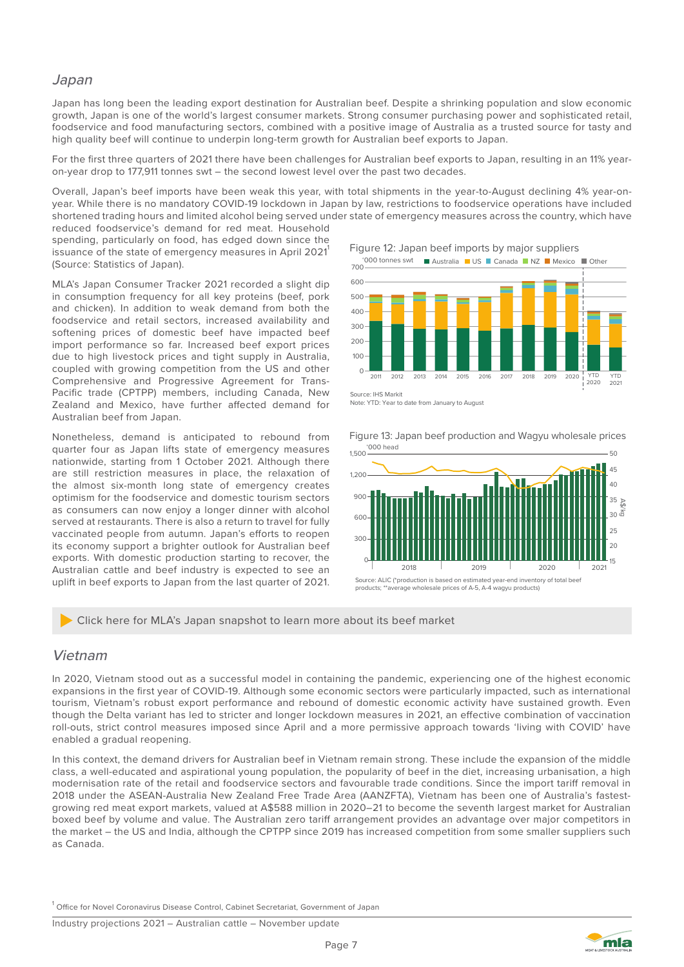#### Japan

Japan has long been the leading export destination for Australian beef. Despite a shrinking population and slow economic growth, Japan is one of the world's largest consumer markets. Strong consumer purchasing power and sophisticated retail, foodservice and food manufacturing sectors, combined with a positive image of Australia as a trusted source for tasty and high quality beef will continue to underpin long-term growth for Australian beef exports to Japan.

For the first three quarters of 2021 there have been challenges for Australian beef exports to Japan, resulting in an 11% yearon-year drop to 177,911 tonnes swt – the second lowest level over the past two decades.

Overall, Japan's beef imports have been weak this year, with total shipments in the year-to-August declining 4% year-onyear. While there is no mandatory COVID-19 lockdown in Japan by law, restrictions to foodservice operations have included shortened trading hours and limited alcohol being served under state of emergency measures across the country, which have reduced foodservice's demand for red meat. Household

spending, particularly on food, has edged down since the issuance of the state of emergency measures in April 2021 (Source: Statistics of Japan).

MLA's Japan Consumer Tracker 2021 recorded a slight dip in consumption frequency for all key proteins (beef, pork and chicken). In addition to weak demand from both the foodservice and retail sectors, increased availability and softening prices of domestic beef have impacted beef import performance so far. Increased beef export prices due to high livestock prices and tight supply in Australia, coupled with growing competition from the US and other Comprehensive and Progressive Agreement for Trans-Pacific trade (CPTPP) members, including Canada, New Zealand and Mexico, have further affected demand for Australian beef from Japan.

Nonetheless, demand is anticipated to rebound from quarter four as Japan lifts state of emergency measures nationwide, starting from 1 October 2021. Although there are still restriction measures in place, the relaxation of the almost six-month long state of emergency creates optimism for the foodservice and domestic tourism sectors as consumers can now enjoy a longer dinner with alcohol served at restaurants. There is also a return to travel for fully vaccinated people from autumn. Japan's efforts to reopen its economy support a brighter outlook for Australian beef exports. With domestic production starting to recover, the Australian cattle and beef industry is expected to see an uplift in beef exports to Japan from the last quarter of 2021. Figure 12: Japan beef imports by major suppliers



Source: IHS Markit Note: YTD: Year to date from January to August



Figure 13: Japan beef production and Wagyu wholesale prices

#### Click here for MLA's Japan snapshot to learn more about its beef market

#### Vietnam

In 2020, Vietnam stood out as a successful model in containing the pandemic, experiencing one of the highest economic expansions in the first year of COVID-19. Although some economic sectors were particularly impacted, such as international tourism, Vietnam's robust export performance and rebound of domestic economic activity have sustained growth. Even though the Delta variant has led to stricter and longer lockdown measures in 2021, an effective combination of vaccination roll-outs, strict control measures imposed since April and a more permissive approach towards 'living with COVID' have enabled a gradual reopening.

In this context, the demand drivers for Australian beef in Vietnam remain strong. These include the expansion of the middle class, a well-educated and aspirational young population, the popularity of beef in the diet, increasing urbanisation, a high modernisation rate of the retail and foodservice sectors and favourable trade conditions. Since the import tariff removal in 2018 under the ASEAN-Australia New Zealand Free Trade Area (AANZFTA), Vietnam has been one of Australia's fastestgrowing red meat export markets, valued at A\$588 million in 2020–21 to become the seventh largest market for Australian boxed beef by volume and value. The Australian zero tariff arrangement provides an advantage over major competitors in the market – the US and India, although the CPTPP since 2019 has increased competition from some smaller suppliers such as Canada.

<sup>1</sup> Office for Novel Coronavirus Disease Control, Cabinet Secretariat, Government of Japan

Industry projections 2021 – Australian cattle – November update

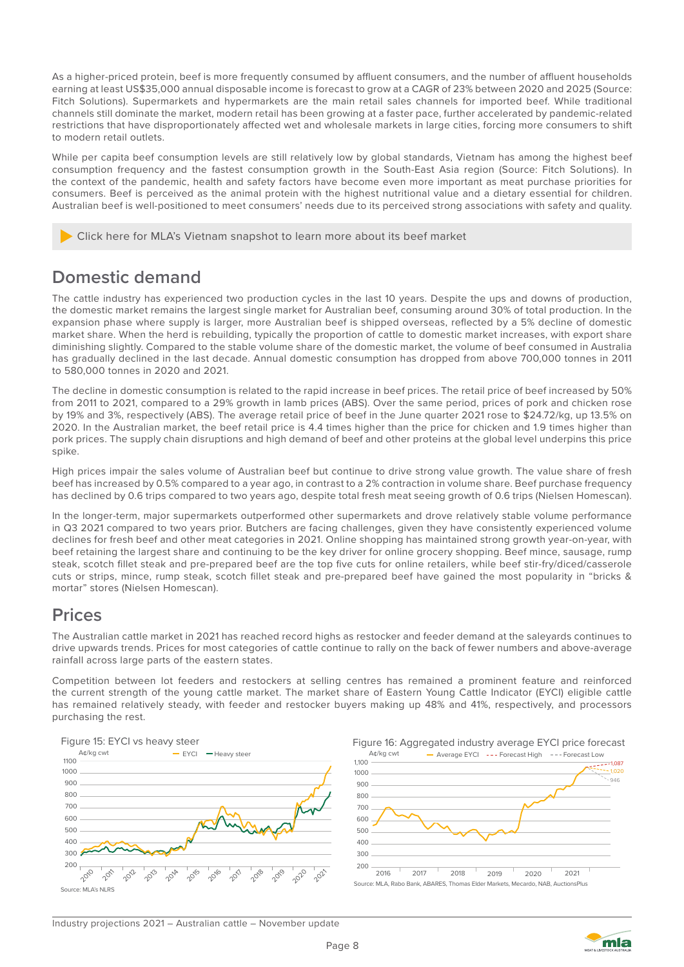As a higher-priced protein, beef is more frequently consumed by affluent consumers, and the number of affluent households earning at least US\$35,000 annual disposable income is forecast to grow at a CAGR of 23% between 2020 and 2025 (Source: Fitch Solutions). Supermarkets and hypermarkets are the main retail sales channels for imported beef. While traditional channels still dominate the market, modern retail has been growing at a faster pace, further accelerated by pandemic-related restrictions that have disproportionately affected wet and wholesale markets in large cities, forcing more consumers to shift to modern retail outlets.

While per capita beef consumption levels are still relatively low by global standards, Vietnam has among the highest beef consumption frequency and the fastest consumption growth in the South-East Asia region (Source: Fitch Solutions). In the context of the pandemic, health and safety factors have become even more important as meat purchase priorities for consumers. Beef is perceived as the animal protein with the highest nutritional value and a dietary essential for children. Australian beef is well-positioned to meet consumers' needs due to its perceived strong associations with safety and quality.

Click here for MLA's Vietnam snapshot to learn more about its beef market

## **Domestic demand**

The cattle industry has experienced two production cycles in the last 10 years. Despite the ups and downs of production, the domestic market remains the largest single market for Australian beef, consuming around 30% of total production. In the expansion phase where supply is larger, more Australian beef is shipped overseas, reflected by a 5% decline of domestic market share. When the herd is rebuilding, typically the proportion of cattle to domestic market increases, with export share diminishing slightly. Compared to the stable volume share of the domestic market, the volume of beef consumed in Australia has gradually declined in the last decade. Annual domestic consumption has dropped from above 700,000 tonnes in 2011 to 580,000 tonnes in 2020 and 2021.

The decline in domestic consumption is related to the rapid increase in beef prices. The retail price of beef increased by 50% from 2011 to 2021, compared to a 29% growth in lamb prices (ABS). Over the same period, prices of pork and chicken rose by 19% and 3%, respectively (ABS). The average retail price of beef in the June quarter 2021 rose to \$24.72/kg, up 13.5% on 2020. In the Australian market, the beef retail price is 4.4 times higher than the price for chicken and 1.9 times higher than pork prices. The supply chain disruptions and high demand of beef and other proteins at the global level underpins this price spike.

High prices impair the sales volume of Australian beef but continue to drive strong value growth. The value share of fresh beef has increased by 0.5% compared to a year ago, in contrast to a 2% contraction in volume share. Beef purchase frequency has declined by 0.6 trips compared to two years ago, despite total fresh meat seeing growth of 0.6 trips (Nielsen Homescan).

In the longer-term, major supermarkets outperformed other supermarkets and drove relatively stable volume performance in Q3 2021 compared to two years prior. Butchers are facing challenges, given they have consistently experienced volume declines for fresh beef and other meat categories in 2021. Online shopping has maintained strong growth year-on-year, with beef retaining the largest share and continuing to be the key driver for online grocery shopping. Beef mince, sausage, rump steak, scotch fillet steak and pre-prepared beef are the top five cuts for online retailers, while beef stir-fry/diced/casserole cuts or strips, mince, rump steak, scotch fillet steak and pre-prepared beef have gained the most popularity in "bricks & mortar" stores (Nielsen Homescan).

### **Prices**

The Australian cattle market in 2021 has reached record highs as restocker and feeder demand at the saleyards continues to drive upwards trends. Prices for most categories of cattle continue to rally on the back of fewer numbers and above-average rainfall across large parts of the eastern states.

Competition between lot feeders and restockers at selling centres has remained a prominent feature and reinforced the current strength of the young cattle market. The market share of Eastern Young Cattle Indicator (EYCI) eligible cattle has remained relatively steady, with feeder and restocker buyers making up 48% and 41%, respectively, and processors purchasing the rest.





Industry projections 2021 – Australian cattle – November update